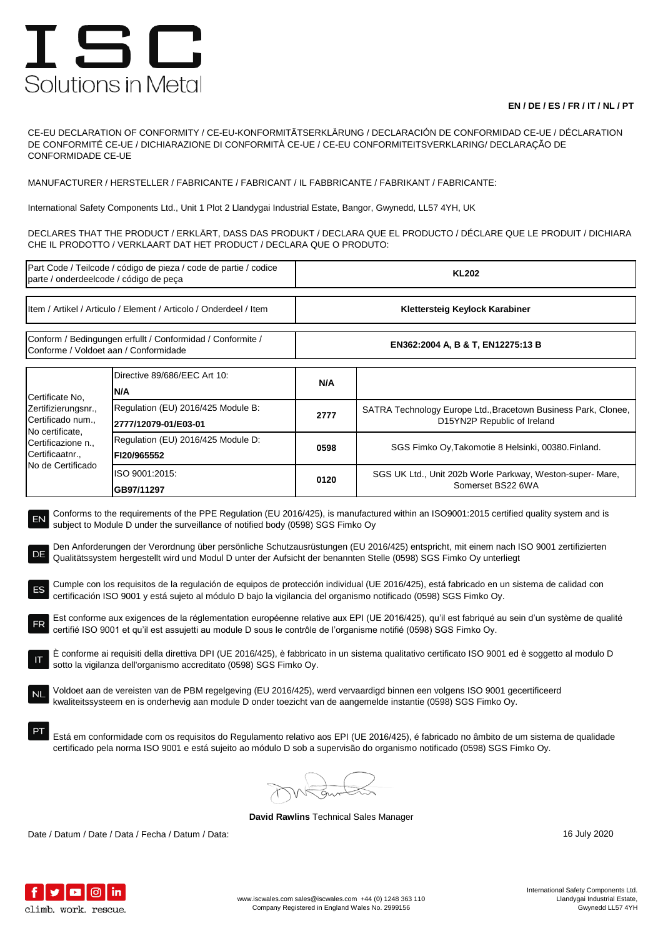## ISC Solutions in Metal

## **EN / DE / ES / FR / IT / NL / PT**

CE-EU DECLARATION OF CONFORMITY / CE-EU-KONFORMITÄTSERKLÄRUNG / DECLARACIÓN DE CONFORMIDAD CE-UE / DÉCLARATION DE CONFORMITÉ CE-UE / DICHIARAZIONE DI CONFORMITÀ CE-UE / CE-EU CONFORMITEITSVERKLARING/ DECLARAÇÃO DE CONFORMIDADE CE-UE

MANUFACTURER / HERSTELLER / FABRICANTE / FABRICANT / IL FABBRICANTE / FABRIKANT / FABRICANTE:

International Safety Components Ltd., Unit 1 Plot 2 Llandygai Industrial Estate, Bangor, Gwynedd, LL57 4YH, UK

DECLARES THAT THE PRODUCT / ERKLÄRT, DASS DAS PRODUKT / DECLARA QUE EL PRODUCTO / DÉCLARE QUE LE PRODUIT / DICHIARA CHE IL PRODOTTO / VERKLAART DAT HET PRODUCT / DECLARA QUE O PRODUTO:

| Part Code / Teilcode / código de pieza / code de partie / codice<br>parte / onderdeelcode / código de peça                                                                                                                                                                                                                                                                                                                                                                                                                                                                                                                                                                                                                                                                                                                                                                                                                                                                                                                                                                                                                                                                                                                                                                                                                                                                                                                                                                                                                                                                                                                                                                                                                                                                                                   |                                                            | <b>KL202</b>                      |                                                                                               |  |  |
|--------------------------------------------------------------------------------------------------------------------------------------------------------------------------------------------------------------------------------------------------------------------------------------------------------------------------------------------------------------------------------------------------------------------------------------------------------------------------------------------------------------------------------------------------------------------------------------------------------------------------------------------------------------------------------------------------------------------------------------------------------------------------------------------------------------------------------------------------------------------------------------------------------------------------------------------------------------------------------------------------------------------------------------------------------------------------------------------------------------------------------------------------------------------------------------------------------------------------------------------------------------------------------------------------------------------------------------------------------------------------------------------------------------------------------------------------------------------------------------------------------------------------------------------------------------------------------------------------------------------------------------------------------------------------------------------------------------------------------------------------------------------------------------------------------------|------------------------------------------------------------|-----------------------------------|-----------------------------------------------------------------------------------------------|--|--|
| Item / Artikel / Articulo / Element / Articolo / Onderdeel / Item                                                                                                                                                                                                                                                                                                                                                                                                                                                                                                                                                                                                                                                                                                                                                                                                                                                                                                                                                                                                                                                                                                                                                                                                                                                                                                                                                                                                                                                                                                                                                                                                                                                                                                                                            |                                                            | Klettersteig Keylock Karabiner    |                                                                                               |  |  |
| Conform / Bedingungen erfullt / Conformidad / Conformite /<br>Conforme / Voldoet aan / Conformidade                                                                                                                                                                                                                                                                                                                                                                                                                                                                                                                                                                                                                                                                                                                                                                                                                                                                                                                                                                                                                                                                                                                                                                                                                                                                                                                                                                                                                                                                                                                                                                                                                                                                                                          |                                                            | EN362:2004 A, B & T, EN12275:13 B |                                                                                               |  |  |
| Certificate No.<br>Zertifizierungsnr.,<br>Certificado num.,<br>No certificate,<br>Certificazione n.,<br>Certificaatnr.,<br>No de Certificado                                                                                                                                                                                                                                                                                                                                                                                                                                                                                                                                                                                                                                                                                                                                                                                                                                                                                                                                                                                                                                                                                                                                                                                                                                                                                                                                                                                                                                                                                                                                                                                                                                                                 | Directive 89/686/EEC Art 10:<br>N/A                        | N/A                               |                                                                                               |  |  |
|                                                                                                                                                                                                                                                                                                                                                                                                                                                                                                                                                                                                                                                                                                                                                                                                                                                                                                                                                                                                                                                                                                                                                                                                                                                                                                                                                                                                                                                                                                                                                                                                                                                                                                                                                                                                              | Regulation (EU) 2016/425 Module B:<br>2777/12079-01/E03-01 | 2777                              | SATRA Technology Europe Ltd., Bracetown Business Park, Clonee,<br>D15YN2P Republic of Ireland |  |  |
|                                                                                                                                                                                                                                                                                                                                                                                                                                                                                                                                                                                                                                                                                                                                                                                                                                                                                                                                                                                                                                                                                                                                                                                                                                                                                                                                                                                                                                                                                                                                                                                                                                                                                                                                                                                                              | Regulation (EU) 2016/425 Module D:<br>FI20/965552          | 0598                              | SGS Fimko Oy, Takomotie 8 Helsinki, 00380. Finland.                                           |  |  |
|                                                                                                                                                                                                                                                                                                                                                                                                                                                                                                                                                                                                                                                                                                                                                                                                                                                                                                                                                                                                                                                                                                                                                                                                                                                                                                                                                                                                                                                                                                                                                                                                                                                                                                                                                                                                              | ISO 9001:2015:<br>GB97/11297                               | 0120                              | SGS UK Ltd., Unit 202b Worle Parkway, Weston-super-Mare,<br>Somerset BS22 6WA                 |  |  |
| Conforms to the requirements of the PPE Regulation (EU 2016/425), is manufactured within an ISO9001:2015 certified quality system and is<br>EN<br>subject to Module D under the surveillance of notified body (0598) SGS Fimko Oy<br>Den Anforderungen der Verordnung über persönliche Schutzausrüstungen (EU 2016/425) entspricht, mit einem nach ISO 9001 zertifizierten<br>DE<br>Qualitätssystem hergestellt wird und Modul D unter der Aufsicht der benannten Stelle (0598) SGS Fimko Oy unterliegt<br>Cumple con los requisitos de la regulación de equipos de protección individual (UE 2016/425), está fabricado en un sistema de calidad con<br>ES<br>certificación ISO 9001 y está sujeto al módulo D bajo la vigilancia del organismo notificado (0598) SGS Fimko Oy.<br>Est conforme aux exigences de la réglementation européenne relative aux EPI (UE 2016/425), qu'il est fabriqué au sein d'un système de qualité<br>FR<br>certifié ISO 9001 et qu'il est assujetti au module D sous le contrôle de l'organisme notifié (0598) SGS Fimko Oy.<br>È conforme ai requisiti della direttiva DPI (UE 2016/425), è fabbricato in un sistema qualitativo certificato ISO 9001 ed è soggetto al modulo D<br>sotto la vigilanza dell'organismo accreditato (0598) SGS Fimko Oy.<br>Voldoet aan de vereisten van de PBM regelgeving (EU 2016/425), werd vervaardigd binnen een volgens ISO 9001 gecertificeerd<br>kwaliteitssysteem en is onderhevig aan module D onder toezicht van de aangemelde instantie (0598) SGS Fimko Oy.<br>Está em conformidade com os requisitos do Regulamento relativo aos EPI (UE 2016/425), é fabricado no âmbito de um sistema de qualidade<br>certificado pela norma ISO 9001 e está sujeito ao módulo D sob a supervisão do organismo notificado (0598) SGS Fimko Oy. |                                                            |                                   |                                                                                               |  |  |
|                                                                                                                                                                                                                                                                                                                                                                                                                                                                                                                                                                                                                                                                                                                                                                                                                                                                                                                                                                                                                                                                                                                                                                                                                                                                                                                                                                                                                                                                                                                                                                                                                                                                                                                                                                                                              |                                                            |                                   |                                                                                               |  |  |

**David Rawlins** Technical Sales Manager

Date / Datum / Date / Data / Fecha / Datum / Data: 16 July 2020